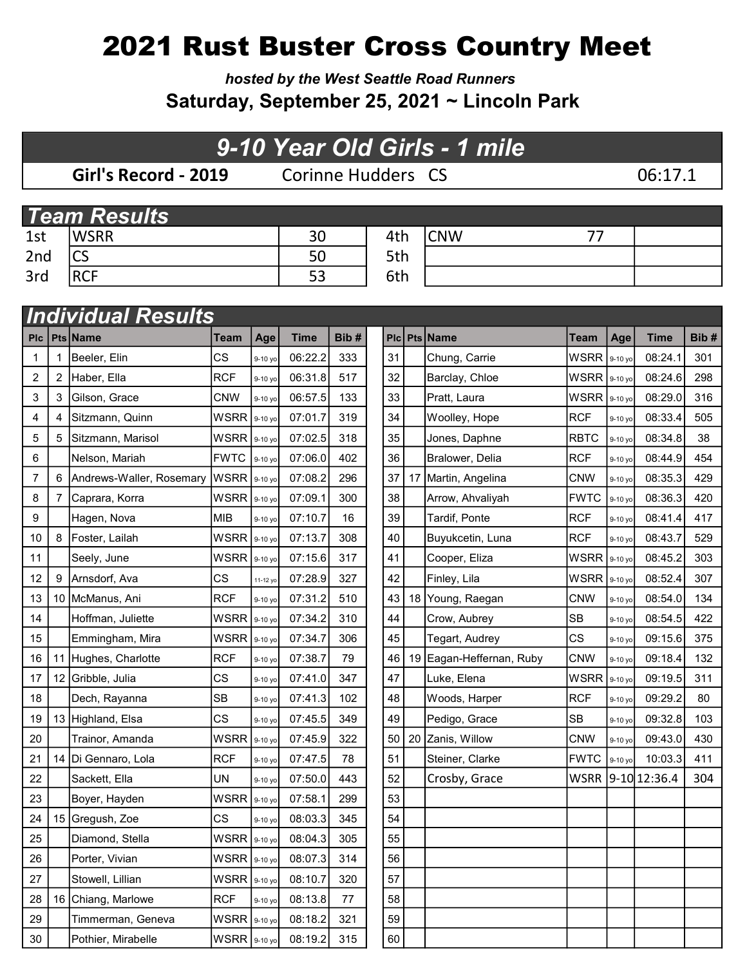# 2021 Rust Buster Cross Country Meet

hosted by the West Seattle Road Runners Saturday, September 25, 2021 ~ Lincoln Park

## 9-10 Year Old Girls - 1 mile

Girl's Record - 2019 Corinne Hudders CS 06:17.1

|     | <b>Team Results</b> |    |     |            |  |  |  |  |  |  |  |  |  |
|-----|---------------------|----|-----|------------|--|--|--|--|--|--|--|--|--|
| 1st | <b>WSRR</b>         | 30 | 4th | <b>CNW</b> |  |  |  |  |  |  |  |  |  |
| 2nd | <b>CS</b>           | 50 | 5th |            |  |  |  |  |  |  |  |  |  |
| 3rd | <b>RCF</b>          |    | 6th |            |  |  |  |  |  |  |  |  |  |

|                         |    | <b>Individual Results</b> |                |           |             |      |    |    |                          |             |         |                |      |
|-------------------------|----|---------------------------|----------------|-----------|-------------|------|----|----|--------------------------|-------------|---------|----------------|------|
| <b>PIc</b>              |    | Pts Name                  | Team           | Age       | <b>Time</b> | Bib# |    |    | Plc Pts Name             | Team        | Age     | <b>Time</b>    | Bib# |
| $\mathbf{1}$            |    | Beeler, Elin              | <b>CS</b>      | 9-10 yo   | 06:22.2     | 333  | 31 |    | Chung, Carrie            | WSRR        | 9-10 yo | 08:24.1        | 301  |
| $\overline{\mathbf{c}}$ | 2  | Haber, Ella               | <b>RCF</b>     | 9-10 yo   | 06:31.8     | 517  | 32 |    | Barclay, Chloe           | <b>WSRR</b> | 9-10 yo | 08:24.6        | 298  |
| 3                       | 3  | Gilson, Grace             | <b>CNW</b>     | 9-10 yo   | 06:57.5     | 133  | 33 |    | Pratt, Laura             | WSRR        | 9-10 yo | 08:29.0        | 316  |
| 4                       | 4  | Sitzmann, Quinn           | WSRR           | 9-10 yo   | 07:01.7     | 319  | 34 |    | Woolley, Hope            | <b>RCF</b>  | 9-10 yo | 08:33.4        | 505  |
| 5                       | 5  | Sitzmann, Marisol         | WSRR           | 9-10 yo   | 07:02.5     | 318  | 35 |    | Jones, Daphne            | <b>RBTC</b> | 9-10 yo | 08:34.8        | 38   |
| 6                       |    | Nelson, Mariah            | <b>FWTC</b>    | 9-10 yo   | 07:06.0     | 402  | 36 |    | Bralower, Delia          | <b>RCF</b>  | 9-10 yo | 08:44.9        | 454  |
| 7                       | 6  | Andrews-Waller, Rosemary  | $WSRR$ 9-10 yo |           | 07:08.2     | 296  | 37 | 17 | Martin, Angelina         | <b>CNW</b>  | 9-10 yo | 08:35.3        | 429  |
| 8                       | 7  | Caprara, Korra            | <b>WSRR</b>    | $9-10$ yo | 07:09.1     | 300  | 38 |    | Arrow, Ahvaliyah         | <b>FWTC</b> | 9-10 yo | 08:36.3        | 420  |
| 9                       |    | Hagen, Nova               | <b>MIB</b>     | 9-10 yo   | 07:10.7     | 16   | 39 |    | Tardif, Ponte            | <b>RCF</b>  | 9-10 yo | 08:41.4        | 417  |
| 10                      | 8  | Foster, Lailah            | <b>WSRR</b>    | 9-10 yo   | 07:13.7     | 308  | 40 |    | Buyukcetin, Luna         | <b>RCF</b>  | 9-10 yo | 08:43.7        | 529  |
| 11                      |    | Seely, June               | WSRR           | 9-10 yo   | 07:15.6     | 317  | 41 |    | Cooper, Eliza            | WSRR        | 9-10 yo | 08:45.2        | 303  |
| 12                      | 9  | Arnsdorf, Ava             | CS             | 11-12 yo  | 07:28.9     | 327  | 42 |    | Finley, Lila             | <b>WSRR</b> | 9-10 yo | 08:52.4        | 307  |
| 13                      |    | 10 McManus, Ani           | <b>RCF</b>     | 9-10 yo   | 07:31.2     | 510  | 43 |    | 18 Young, Raegan         | <b>CNW</b>  | 9-10 yo | 08:54.0        | 134  |
| 14                      |    | Hoffman, Juliette         | <b>WSRR</b>    | 9-10 yo   | 07:34.2     | 310  | 44 |    | Crow, Aubrey             | <b>SB</b>   | 9-10 yo | 08:54.5        | 422  |
| 15                      |    | Emmingham, Mira           | <b>WSRR</b>    | 9-10 yo   | 07:34.7     | 306  | 45 |    | Tegart, Audrey           | <b>CS</b>   | 9-10 yo | 09:15.6        | 375  |
| 16                      | 11 | Hughes, Charlotte         | <b>RCF</b>     | 9-10 yo   | 07:38.7     | 79   | 46 |    | 19 Eagan-Heffernan, Ruby | <b>CNW</b>  | 9-10 yo | 09:18.4        | 132  |
| 17                      |    | 12 Gribble, Julia         | <b>CS</b>      | 9-10 yo   | 07:41.0     | 347  | 47 |    | Luke, Elena              | <b>WSRR</b> | 9-10 yo | 09:19.5        | 311  |
| 18                      |    | Dech, Rayanna             | <b>SB</b>      | 9-10 yo   | 07:41.3     | 102  | 48 |    | Woods, Harper            | <b>RCF</b>  | 9-10 yo | 09:29.2        | 80   |
| 19                      |    | 13 Highland, Elsa         | <b>CS</b>      | 9-10 yo   | 07:45.5     | 349  | 49 |    | Pedigo, Grace            | <b>SB</b>   | 9-10 yo | 09:32.8        | 103  |
| 20                      |    | Trainor, Amanda           | <b>WSRR</b>    | 9-10 yo   | 07:45.9     | 322  | 50 | 20 | Zanis, Willow            | <b>CNW</b>  | 9-10 yo | 09:43.0        | 430  |
| 21                      |    | 14   Di Gennaro, Lola     | <b>RCF</b>     | 9-10 yo   | 07:47.5     | 78   | 51 |    | Steiner, Clarke          | <b>FWTC</b> | 9-10 yo | 10:03.3        | 411  |
| 22                      |    | Sackett, Ella             | <b>UN</b>      | 9-10 yo   | 07:50.0     | 443  | 52 |    | Crosby, Grace            | <b>WSRR</b> |         | $9-10$ 12:36.4 | 304  |
| 23                      |    | Boyer, Hayden             | <b>WSRR</b>    | 9-10 yo   | 07:58.1     | 299  | 53 |    |                          |             |         |                |      |
| 24                      |    | 15 Gregush, Zoe           | <b>CS</b>      | 9-10 yo   | 08:03.3     | 345  | 54 |    |                          |             |         |                |      |
| 25                      |    | Diamond, Stella           | <b>WSRR</b>    | 9-10 yo   | 08:04.3     | 305  | 55 |    |                          |             |         |                |      |
| 26                      |    | Porter, Vivian            | WSRR 9-10 yo   |           | 08:07.3     | 314  | 56 |    |                          |             |         |                |      |
| 27                      |    | Stowell, Lillian          | WSRR 9-10 yo   |           | 08:10.7     | 320  | 57 |    |                          |             |         |                |      |
| 28                      |    | 16 Chiang, Marlowe        | <b>RCF</b>     | 9-10 yo   | 08:13.8     | 77   | 58 |    |                          |             |         |                |      |
| 29                      |    | Timmerman, Geneva         | WSRR 9-10 yo   |           | 08:18.2     | 321  | 59 |    |                          |             |         |                |      |
| $30\,$                  |    | Pothier, Mirabelle        | WSRR 9-10 yo   |           | 08:19.2     | 315  | 60 |    |                          |             |         |                |      |